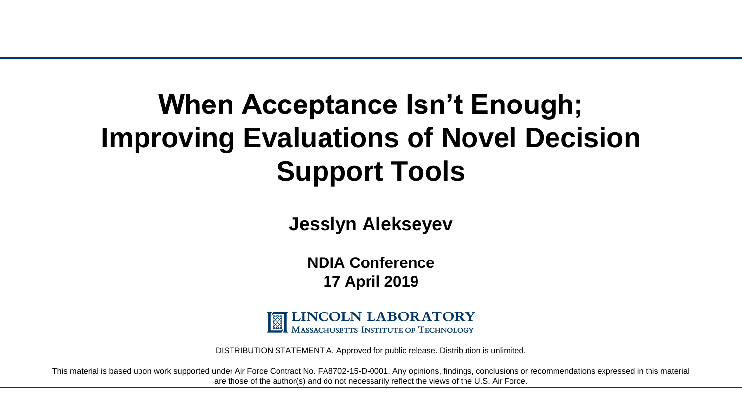## **When Acceptance Isn't Enough; Improving Evaluations of Novel Decision Support Tools**

**Jesslyn Alekseyev**

**NDIA Conference 17 April 2019**



DISTRIBUTION STATEMENT A. Approved for public release. Distribution is unlimited.

This material is based upon work supported under Air Force Contract No. FA8702-15-D-0001. Any opinions, findings, conclusions or recommendations expressed in this material are those of the author(s) and do not necessarily reflect the views of the U.S. Air Force.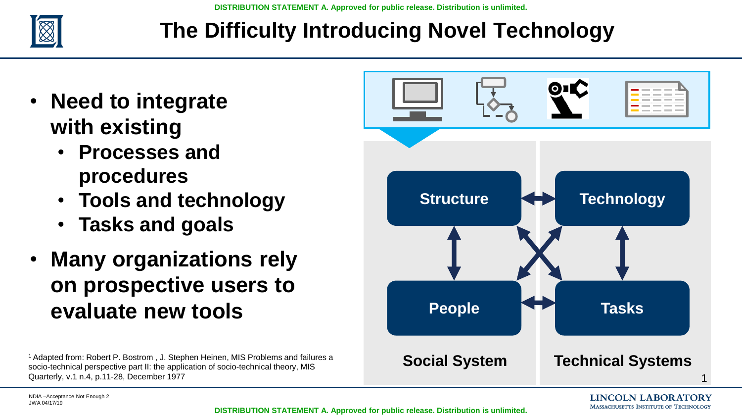

## **The Difficulty Introducing Novel Technology**

- **Need to integrate with existing**
	- **Processes and procedures**
	- **Tools and technology**
	- **Tasks and goals**
- **Many organizations rely on prospective users to evaluate new tools**

<sup>1</sup>Adapted from: Robert P. Bostrom , J. Stephen Heinen, MIS Problems and failures a socio-technical perspective part II: the application of socio-technical theory, MIS Quarterly, v.1 n.4, p.11-28, December 1977

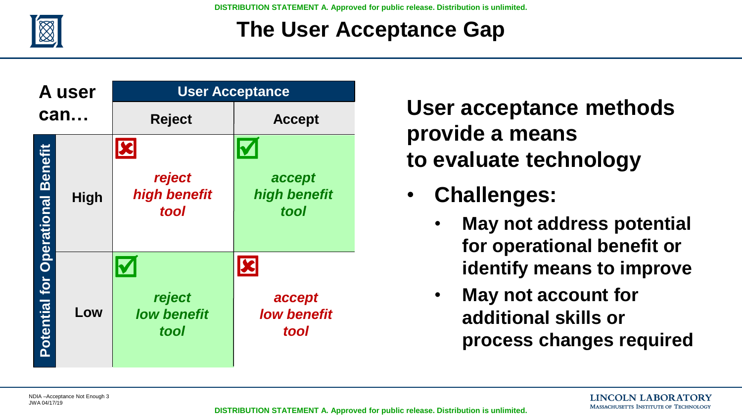

## **The User Acceptance Gap**

| A user                                   |             | <b>User Acceptance</b>               |                                                      |  |
|------------------------------------------|-------------|--------------------------------------|------------------------------------------------------|--|
| can                                      |             | <b>Reject</b>                        | <b>Accept</b>                                        |  |
| <b>Potential for Operational Benefit</b> | <b>High</b> | reject<br>high benefit<br>tool       | accept<br>high benefit<br>tool                       |  |
|                                          | Low         | reject<br><b>low benefit</b><br>tool | $\mathbf{z}$<br>accept<br><b>low benefit</b><br>tool |  |

**User acceptance methods provide a means to evaluate technology**

- **Challenges:** 
	- **May not address potential for operational benefit or identify means to improve**
	- **May not account for additional skills or process changes required**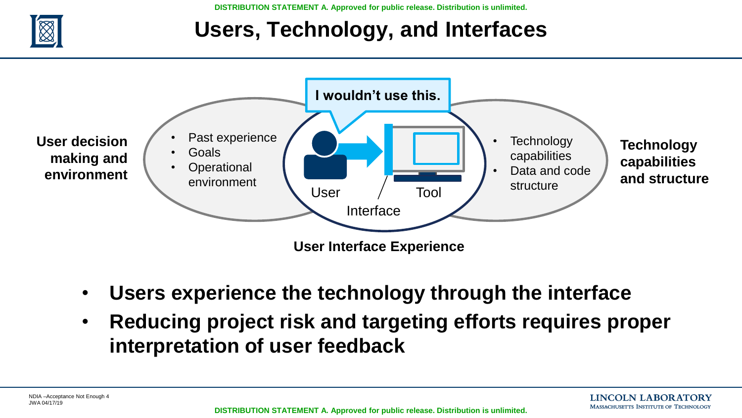

## **Users, Technology, and Interfaces**



- **Users experience the technology through the interface**
- **Reducing project risk and targeting efforts requires proper interpretation of user feedback**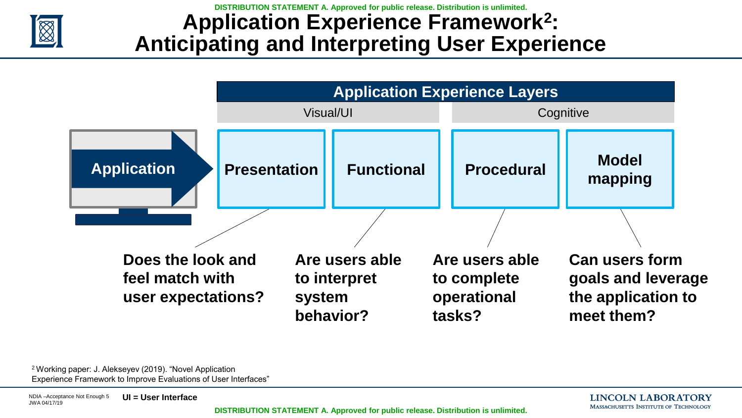

### **Application Experience Framework<sup>2</sup> : Anticipating and Interpreting User Experience**



<sup>2</sup>Working paper: J. Alekseyev (2019). "Novel Application Experience Framework to Improve Evaluations of User Interfaces"

**LINCOLN LABORATORY** MASSACHUSETTS INSTITUTE OF TECHNOLOGY

**DISTRIBUTION STATEMENT A. Approved for public release. Distribution is unlimited.**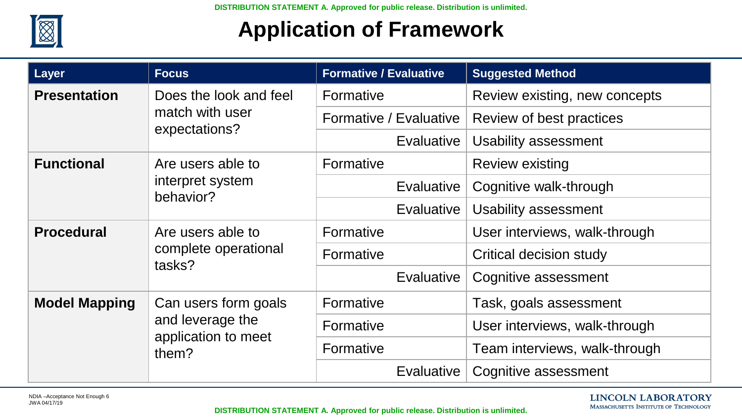

## **Application of Framework**

| Layer                | <b>Focus</b>                                                             | <b>Formative / Evaluative</b> | <b>Suggested Method</b>       |
|----------------------|--------------------------------------------------------------------------|-------------------------------|-------------------------------|
| <b>Presentation</b>  | Does the look and feel                                                   | Formative                     | Review existing, new concepts |
|                      | match with user<br>expectations?                                         | Formative / Evaluative        | Review of best practices      |
|                      |                                                                          | <b>Evaluative</b>             | <b>Usability assessment</b>   |
| <b>Functional</b>    | Are users able to<br>interpret system<br>behavior?                       | Formative                     | <b>Review existing</b>        |
|                      |                                                                          | <b>Evaluative</b>             | Cognitive walk-through        |
|                      |                                                                          | Evaluative                    | Usability assessment          |
| <b>Procedural</b>    | Are users able to<br>complete operational<br>tasks?                      | Formative                     | User interviews, walk-through |
|                      |                                                                          | Formative                     | Critical decision study       |
|                      |                                                                          | Evaluative                    | Cognitive assessment          |
| <b>Model Mapping</b> | Can users form goals<br>and leverage the<br>application to meet<br>them? | Formative                     | Task, goals assessment        |
|                      |                                                                          | Formative                     | User interviews, walk-through |
|                      |                                                                          | Formative                     | Team interviews, walk-through |
|                      |                                                                          | Evaluative                    | Cognitive assessment          |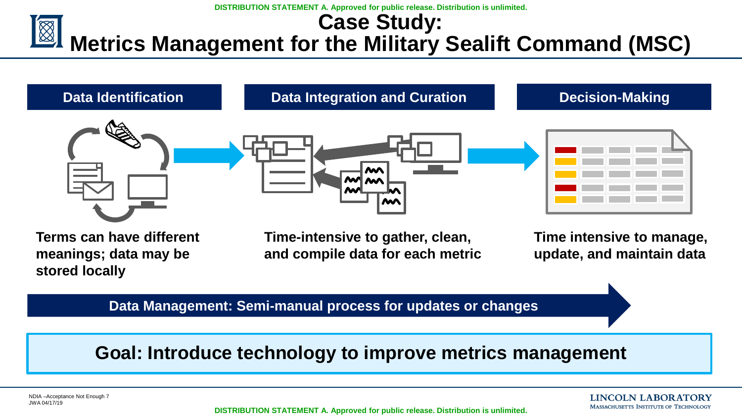#### **DISTRIBUTION STATEMENT A. Approved for public release. Distribution is unlimited. Case Study: Metrics Management for the Military Sealift Command (MSC)**



**Terms can have different meanings; data may be stored locally**

**Time-intensive to gather, clean, and compile data for each metric**

**Time intensive to manage, update, and maintain data**

**Data Management: Semi-manual process for updates or changes**

#### **Goal: Introduce technology to improve metrics management**

**LINCOLN LABORATORY MASSACHUSETTS INSTITUTE OF TECHNOLOGY** 

**DISTRIBUTION STATEMENT A. Approved for public release. Distribution is unlimited.**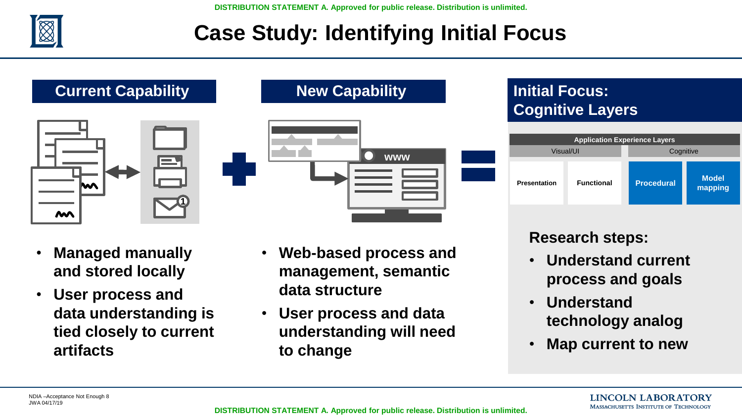

## **Case Study: Identifying Initial Focus**



**Current Capability**





- **Managed manually and stored locally**
- **User process and data understanding is tied closely to current artifacts**
- **Web-based process and management, semantic data structure**
- **User process and data understanding will need to change**

#### **Initial Focus: Cognitive Layers**

|                     | <b>Application Experience Layers</b> |                   |                         |  |  |  |
|---------------------|--------------------------------------|-------------------|-------------------------|--|--|--|
| Visual/UI           |                                      | Cognitive         |                         |  |  |  |
| <b>Presentation</b> | <b>Functional</b>                    | <b>Procedural</b> | <b>Model</b><br>mapping |  |  |  |

#### **Research steps:**

- **Understand current process and goals**
- **Understand technology analog**
- **Map current to new**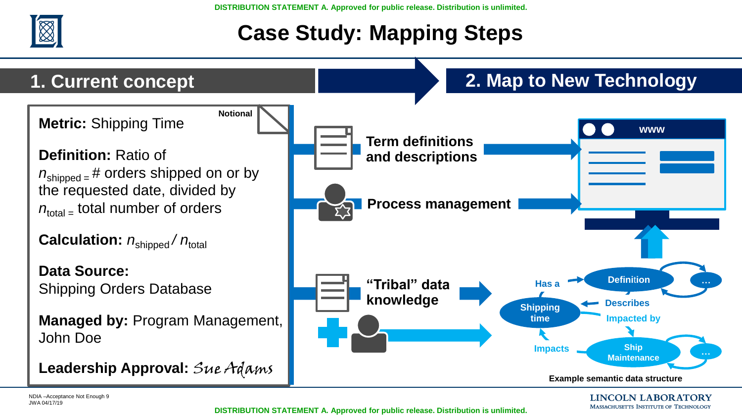

## **Case Study: Mapping Steps**



**DISTRIBUTION STATEMENT A. Approved for public release. Distribution is unlimited.**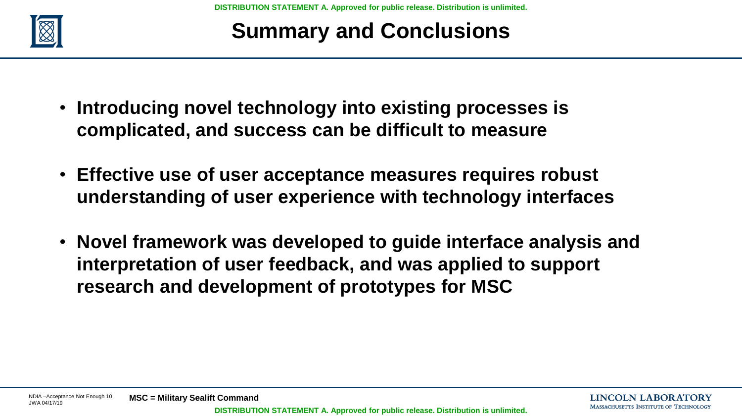

## **Summary and Conclusions**

- **Introducing novel technology into existing processes is complicated, and success can be difficult to measure**
- **Effective use of user acceptance measures requires robust understanding of user experience with technology interfaces**
- **Novel framework was developed to guide interface analysis and interpretation of user feedback, and was applied to support research and development of prototypes for MSC**